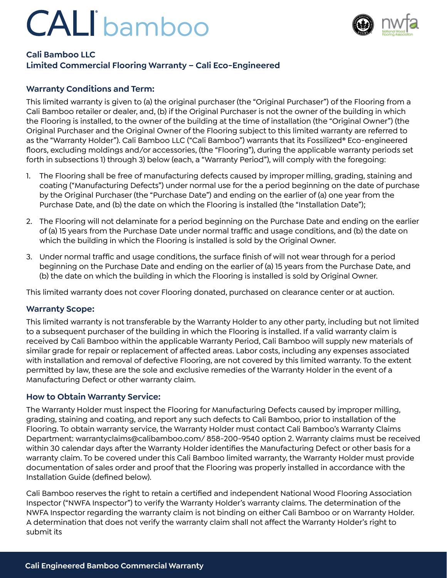# CALI bamboo



# **Cali Bamboo LLC**

# **Limited Commercial Flooring Warranty – Cali Eco-Engineered**

### **Warranty Conditions and Term:**

This limited warranty is given to (a) the original purchaser (the "Original Purchaser") of the Flooring from a Cali Bamboo retailer or dealer, and, (b) if the Original Purchaser is not the owner of the building in which the Flooring is installed, to the owner of the building at the time of installation (the "Original Owner") (the Original Purchaser and the Original Owner of the Flooring subject to this limited warranty are referred to as the "Warranty Holder"). Cali Bamboo LLC ("Cali Bamboo") warrants that its Fossilized® Eco-engineered floors, excluding moldings and/or accessories, (the "Flooring"), during the applicable warranty periods set forth in subsections 1) through 3) below (each, a "Warranty Period"), will comply with the foregoing:

- 1. The Flooring shall be free of manufacturing defects caused by improper milling, grading, staining and coating ("Manufacturing Defects") under normal use for the a period beginning on the date of purchase by the Original Purchaser (the "Purchase Date") and ending on the earlier of (a) one year from the Purchase Date, and (b) the date on which the Flooring is installed (the "Installation Date");
- 2. The Flooring will not delaminate for a period beginning on the Purchase Date and ending on the earlier of (a) 15 years from the Purchase Date under normal traffic and usage conditions, and (b) the date on which the building in which the Flooring is installed is sold by the Original Owner.
- 3. Under normal traffic and usage conditions, the surface finish of will not wear through for a period beginning on the Purchase Date and ending on the earlier of (a) 15 years from the Purchase Date, and (b) the date on which the building in which the Flooring is installed is sold by Original Owner.

This limited warranty does not cover Flooring donated, purchased on clearance center or at auction.

#### **Warranty Scope:**

This limited warranty is not transferable by the Warranty Holder to any other party, including but not limited to a subsequent purchaser of the building in which the Flooring is installed. If a valid warranty claim is received by Cali Bamboo within the applicable Warranty Period, Cali Bamboo will supply new materials of similar grade for repair or replacement of affected areas. Labor costs, including any expenses associated with installation and removal of defective Flooring, are not covered by this limited warranty. To the extent permitted by law, these are the sole and exclusive remedies of the Warranty Holder in the event of a Manufacturing Defect or other warranty claim.

#### **How to Obtain Warranty Service:**

The Warranty Holder must inspect the Flooring for Manufacturing Defects caused by improper milling, grading, staining and coating, and report any such defects to Cali Bamboo, prior to installation of the Flooring. To obtain warranty service, the Warranty Holder must contact Cali Bamboo's Warranty Claims Department: warrantyclaims@calibamboo.com/ 858-200-9540 option 2. Warranty claims must be received within 30 calendar days after the Warranty Holder identifies the Manufacturing Defect or other basis for a warranty claim. To be covered under this Cali Bamboo limited warranty, the Warranty Holder must provide documentation of sales order and proof that the Flooring was properly installed in accordance with the Installation Guide (defined below).

Cali Bamboo reserves the right to retain a certified and independent National Wood Flooring Association Inspector ("NWFA Inspector") to verify the Warranty Holder's warranty claims. The determination of the NWFA Inspector regarding the warranty claim is not binding on either Cali Bamboo or on Warranty Holder. A determination that does not verify the warranty claim shall not affect the Warranty Holder's right to submit its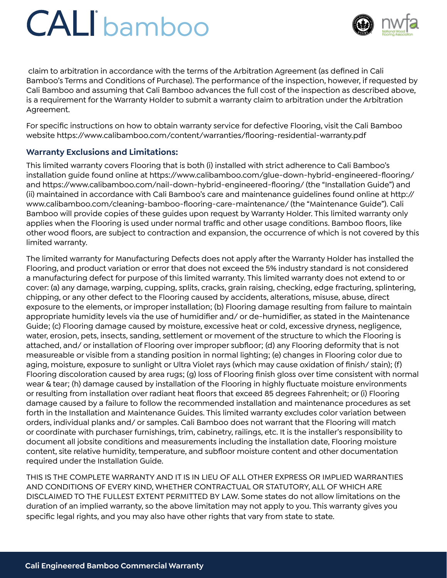# CALI bamboo



 claim to arbitration in accordance with the terms of the Arbitration Agreement (as defined in Cali Bamboo's Terms and Conditions of Purchase). The performance of the inspection, however, if requested by Cali Bamboo and assuming that Cali Bamboo advances the full cost of the inspection as described above, is a requirement for the Warranty Holder to submit a warranty claim to arbitration under the Arbitration Agreement.

For specific instructions on how to obtain warranty service for defective Flooring, visit the Cali Bamboo website https://www.calibamboo.com/content/warranties/flooring-residential-warranty.pdf

### **Warranty Exclusions and Limitations:**

This limited warranty covers Flooring that is both (i) installed with strict adherence to Cali Bamboo's installation guide found online at https://www.calibamboo.com/glue-down-hybrid-engineered-flooring/ and https://www.calibamboo.com/nail-down-hybrid-engineered-flooring/ (the "Installation Guide") and (ii) maintained in accordance with Cali Bamboo's care and maintenance guidelines found online at http:// www.calibamboo.com/cleaning-bamboo-flooring-care-maintenance/ (the "Maintenance Guide"). Cali Bamboo will provide copies of these guides upon request by Warranty Holder. This limited warranty only applies when the Flooring is used under normal traffic and other usage conditions. Bamboo floors, like other wood floors, are subject to contraction and expansion, the occurrence of which is not covered by this limited warranty.

The limited warranty for Manufacturing Defects does not apply after the Warranty Holder has installed the Flooring, and product variation or error that does not exceed the 5% industry standard is not considered a manufacturing defect for purpose of this limited warranty. This limited warranty does not extend to or cover: (a) any damage, warping, cupping, splits, cracks, grain raising, checking, edge fracturing, splintering, chipping, or any other defect to the Flooring caused by accidents, alterations, misuse, abuse, direct exposure to the elements, or improper installation; (b) Flooring damage resulting from failure to maintain appropriate humidity levels via the use of humidifier and/ or de-humidifier, as stated in the Maintenance Guide; (c) Flooring damage caused by moisture, excessive heat or cold, excessive dryness, negligence, water, erosion, pets, insects, sanding, settlement or movement of the structure to which the Flooring is attached, and/ or installation of Flooring over improper subfloor; (d) any Flooring deformity that is not measureable or visible from a standing position in normal lighting; (e) changes in Flooring color due to aging, moisture, exposure to sunlight or Ultra Violet rays (which may cause oxidation of finish/ stain); (f) Flooring discoloration caused by area rugs; (g) loss of Flooring finish gloss over time consistent with normal wear & tear; (h) damage caused by installation of the Flooring in highly fluctuate moisture environments or resulting from installation over radiant heat floors that exceed 85 degrees Fahrenheit; or (i) Flooring damage caused by a failure to follow the recommended installation and maintenance procedures as set forth in the Installation and Maintenance Guides. This limited warranty excludes color variation between orders, individual planks and/ or samples. Cali Bamboo does not warrant that the Flooring will match or coordinate with purchaser furnishings, trim, cabinetry, railings, etc. It is the installer's responsibility to document all jobsite conditions and measurements including the installation date, Flooring moisture content, site relative humidity, temperature, and subfloor moisture content and other documentation required under the Installation Guide.

THIS IS THE COMPLETE WARRANTY AND IT IS IN LIEU OF ALL OTHER EXPRESS OR IMPLIED WARRANTIES AND CONDITIONS OF EVERY KIND, WHETHER CONTRACTUAL OR STATUTORY, ALL OF WHICH ARE DISCLAIMED TO THE FULLEST EXTENT PERMITTED BY LAW. Some states do not allow limitations on the duration of an implied warranty, so the above limitation may not apply to you. This warranty gives you specific legal rights, and you may also have other rights that vary from state to state.